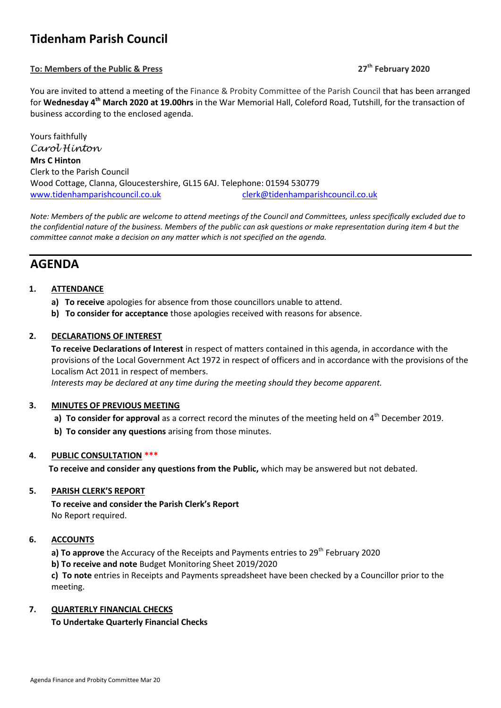# **Tidenham Parish Council**

## **To: Members of the Public & Press 27th February 2020**

You are invited to attend a meeting of the Finance & Probity Committee of the Parish Council that has been arranged for Wednesday 4<sup>th</sup> March 2020 at 19.00hrs in the War Memorial Hall, Coleford Road, Tutshill, for the transaction of business according to the enclosed agenda.

Yours faithfully *Carol Hinton* **Mrs C Hinton** Clerk to the Parish Council Wood Cottage, Clanna, Gloucestershire, GL15 6AJ. Telephone: 01594 530779 [www.tidenhamparishcouncil.co.uk](http://www.tidenhamparishcouncil.co.uk/) [clerk@tidenhamparishcouncil.co.uk](mailto:clerk@tidenhamparishcouncil.co.uk)

*Note: Members of the public are welcome to attend meetings of the Council and Committees, unless specifically excluded due to the confidential nature of the business. Members of the public can ask questions or make representation during item 4 but the committee cannot make a decision on any matter which is not specified on the agenda.*

## **AGENDA**

### **1. ATTENDANCE**

- **a) To receive** apologies for absence from those councillors unable to attend.
- **b) To consider for acceptance** those apologies received with reasons for absence.

### **2. DECLARATIONS OF INTEREST**

**To receive Declarations of Interest** in respect of matters contained in this agenda, in accordance with the provisions of the Local Government Act 1972 in respect of officers and in accordance with the provisions of the Localism Act 2011 in respect of members.

 *Interests may be declared at any time during the meeting should they become apparent.*

#### **3. MINUTES OF PREVIOUS MEETING**

- **a) To consider for approval** as a correct record the minutes of the meeting held on 4<sup>th</sup> December 2019.
- **b) To consider any questions** arising from those minutes.

#### **4. PUBLIC CONSULTATION \*\*\***

**To receive and consider any questions from the Public,** which may be answered but not debated.

#### **5. PARISH CLERK'S REPORT**

**To receive and consider the Parish Clerk's Report**  No Report required.

#### **6. ACCOUNTS**

**a) To approve** the Accuracy of the Receipts and Payments entries to 29<sup>th</sup> February 2020

**b) To receive and note** Budget Monitoring Sheet 2019/2020

**c) To note** entries in Receipts and Payments spreadsheet have been checked by a Councillor prior to the meeting.

#### **7. QUARTERLY FINANCIAL CHECKS**

#### **To Undertake Quarterly Financial Checks**